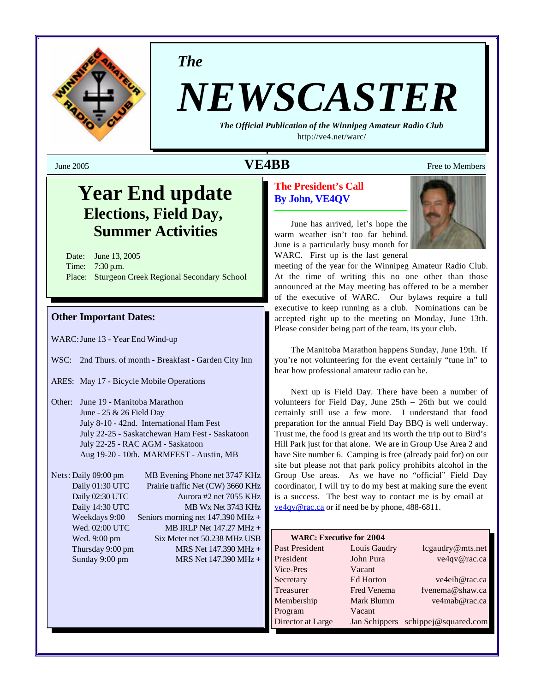

*The*

# *NEWSCASTER*

*The Official Publication of the Winnipeg Amateur Radio Club* <http://ve4.net/warc/>

**VE4BB** Free to Members

## **Year End update Elections, Field Day, Summer Activities**

Date: June 13, 2005 Time: 7:30 p.m. Place: Sturgeon Creek Regional Secondary School

## **Other Important Dates:**

WARC:June 13 - Year End Wind-up

- WSC: 2nd Thurs. of month Breakfast Garden City Inn
- ARES: May 17 Bicycle Mobile Operations
- Other: June 19 Manitoba Marathon June - 25 & 26 Field Day July 8-10 - 42nd. International Ham Fest July 22-25 - Saskatchewan Ham Fest - Saskatoon July 22-25 - RAC AGM - Saskatoon Aug 19-20 - 10th. MARMFEST - Austin, MB

Nets: Daily 09:00 pm MB Evening Phone net 3747 KHz Daily 01:30 UTC Prairie traffic Net (CW) 3660 KHz Daily 02:30 UTC Aurora #2 net 7055 KHz Daily 14:30 UTC MB Wx Net 3743 KHz Weekdays 9:00 Seniors morning net 147.390 MHz + Wed. 02:00 UTC MB IRLP Net 147.27 MHz + Wed. 9:00 pm Six Meter net 50.238 MHz USB Thursday 9:00 pm  $MRS$  Net 147.390 MHz + Sunday 9:00 pm MRS Net 147.390 MHz +

## **The President's Call By John, VE4QV**

June has arrived, let's hope the warm weather isn't too far behind. June is a particularly busy month for WARC. First up is the last general



meeting of the year for the Winnipeg Amateur Radio Club. At the time of writing this no one other than those announced at the May meeting has offered to be a member of the executive of WARC. Our bylaws require a full executive to keep running as a club. Nominations can be accepted right up to the meeting on Monday, June 13th. Please consider being part of the team, its your club.

The Manitoba Marathon happens Sunday, June 19th. If you're not volunteering for the event certainly "tune in" to hear how professional amateur radio can be.

Next up is Field Day. There have been a number of volunteers for Field Day, June 25th – 26th but we could certainly still use a few more. I understand that food preparation for the annual Field Day BBQ is well underway. Trust me, the food is great and its worth the trip out to Bird's Hill Park just for that alone. We are in Group Use Area 2 and have Site number 6. Camping is free (already paid for) on our site but please not that park policy prohibits alcohol in the Group Use areas. As we have no "official" Field Day coordinator, I will try to do my best at making sure the event is a success. The best way to contact me is by email at ve4qv@rac.ca or if need be by phone, 488-6811.

| <b>WARC: Executive for 2004</b> |              |                                    |
|---------------------------------|--------------|------------------------------------|
| Past President                  | Louis Gaudry | lcgaudry@mts.net                   |
| President                       | John Pura    | ve4qv@rac.ca                       |
| Vice-Pres                       | Vacant       |                                    |
| Secretary                       | Ed Horton    | ve4eih@rac.ca                      |
| Treasurer                       | Fred Venema  | fvenema@shaw.ca                    |
| Membership                      | Mark Blumm   | ve4mab@rac.ca                      |
| Program                         | Vacant       |                                    |
| Director at Large               |              | Jan Schippers schippej@squared.com |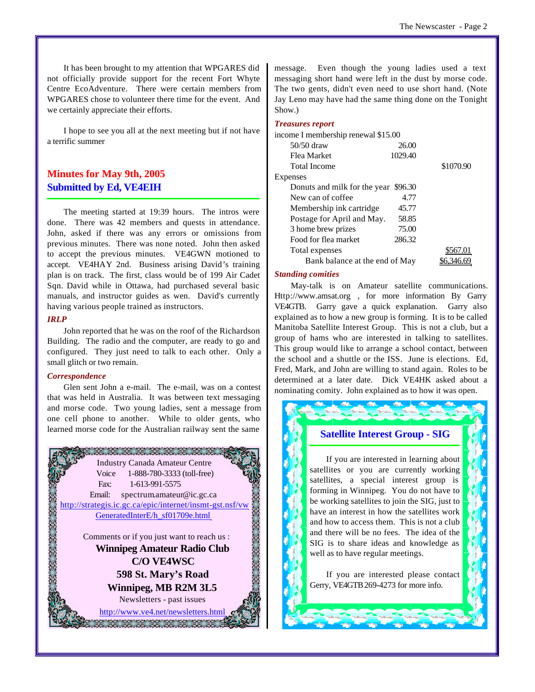It has been brought to my attention that WPGARES did not officially provide support for the recent Fort Whyte Centre EcoAdventure. There were certain members from WPGARES chose to volunteer there time for the event. And we certainly appreciate their efforts.

I hope to see you all at the next meeting but if not have a terrific summer

## **Minutes for May 9th, 2005 Submitted by Ed, VE4EIH**

The meeting started at 19:39 hours. The intros were done. There was 42 members and quests in attendance. John, asked if there was any errors or omissions from previous minutes. There was none noted. John then asked to accept the previous minutes. VE4GWN motioned to accept. VE4HAY 2nd. Business arising David's training plan is on track. The first, class would be of 199 Air Cadet Sqn. David while in Ottawa, had purchased several basic manuals, and instructor guides as wen. David's currently having various people trained as instructors.

### *IRLP*

John reported that he was on the roof of the Richardson Building. The radio and the computer, are ready to go and configured. They just need to talk to each other. Only a small glitch or two remain.

#### *Correspondence*

Glen sent John a e-mail. The e-mail, was on a contest that was held in Australia. It was between text messaging and morse code. Two young ladies, sent a message from one cell phone to another. While to older gents, who learned morse code for the Australian railway sent the same



message. Even though the young ladies used a text messaging short hand were left in the dust by morse code. The two gents, didn't even need to use short hand. (Note Jay Leno may have had the same thing done on the Tonight Show.)

#### *Treasures report*

| income I membership renewal \$15.00  |         |           |
|--------------------------------------|---------|-----------|
| 50/50 draw                           | 26.00   |           |
| Flea Market                          | 1029.40 |           |
| <b>Total Income</b>                  |         | \$1070.90 |
| Expenses                             |         |           |
| Donuts and milk for the year \$96.30 |         |           |
| New can of coffee                    | 4.77    |           |
| Membership ink cartridge             | 45.77   |           |
| Postage for April and May.           | 58.85   |           |
| 3 home brew prizes                   | 75.00   |           |
| Food for flea market                 | 286.32  |           |
| Total expenses                       |         | \$567.01  |
| Bank balance at the end of May       |         |           |
|                                      |         |           |

#### *Standing comities*

May-talk is on Amateur satellite communications. <Http://www.amsat.org> , for more information By Garry VE4GTB. Garry gave a quick explanation. Garry also explained as to how a new group is forming. It is to be called Manitoba Satellite Interest Group. This is not a club, but a group of hams who are interested in talking to satellites. This group would like to arrange a school contact, between the school and a shuttle or the ISS. June is elections. Ed, Fred, Mark, and John are willing to stand again. Roles to be determined at a later date. Dick VE4HK asked about a nominating comity. John explained as to how it was open.

## **Satellite Interest Group - SIG**

If you are interested in learning about satellites or you are currently working satellites, a special interest group is forming in Winnipeg. You do not have to be working satellites to join the SIG, just to have an interest in how the satellites work and how to access them. This is not a club and there will be no fees. The idea of the SIG is to share ideas and knowledge as well as to have regular meetings.

If you are interested please contact Gerry, VE4GTB 269-4273 for more info.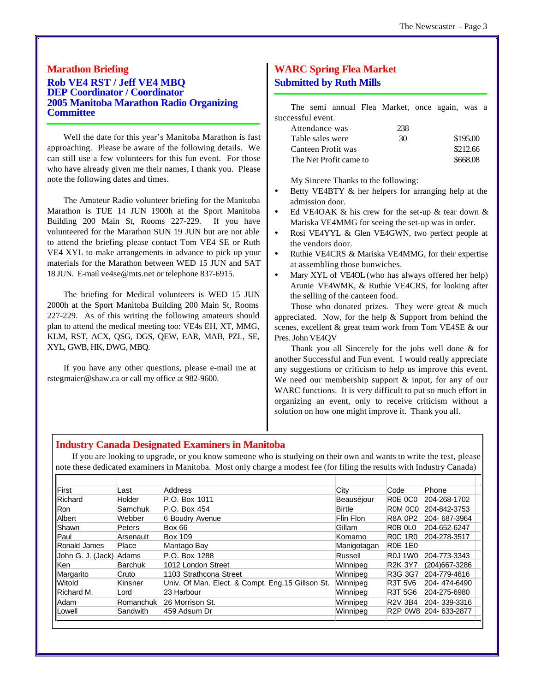## **Marathon Briefing Rob VE4 RST / Jeff VE4 MBQ DEP Coordinator / Coordinator 2005 Manitoba Marathon Radio Organizing Committee**

Well the date for this year's Manitoba Marathon is fast approaching. Please be aware of the following details. We can still use a few volunteers for this fun event. For those who have already given me their names, I thank you. Please note the following dates and times.

The Amateur Radio volunteer briefing for the Manitoba Marathon is TUE 14 JUN 1900h at the Sport Manitoba Building 200 Main St, Rooms 227-229. If you have volunteered for the Marathon SUN 19 JUN but are not able to attend the briefing please contact Tom VE4 SE or Ruth VE4 XYL to make arrangements in advance to pick up your materials for the Marathon between WED 15 JUN and SAT 18 JUN. E-mail ve4se@mts.net or telephone 837-6915.

The briefing for Medical volunteers is WED 15 JUN 2000h at the Sport Manitoba Building 200 Main St, Rooms 227-229. As of this writing the following amateurs should plan to attend the medical meeting too: VE4s EH, XT, MMG, KLM, RST, ACX, QSG, DGS, QEW, EAR, MAB, PZL, SE, XYL, GWB, HK, DWG, MBQ.

If you have any other questions, please e-mail me at rstegmaier@shaw.ca or call my office at 982-9600.

## **WARC Spring Flea Market Submitted by Ruth Mills**

| The semi annual Flea Market, once again, was a |  |     |          |          |  |
|------------------------------------------------|--|-----|----------|----------|--|
| successful event.                              |  |     |          |          |  |
| Attendance was                                 |  | 238 |          |          |  |
| Table sales were                               |  | 30  | \$195.00 |          |  |
| Canteen Profit was                             |  |     |          | \$212.66 |  |
| The Net Profit came to                         |  |     |          | \$668.08 |  |
|                                                |  |     |          |          |  |

My Sincere Thanks to the following:

- Betty VE4BTY & her helpers for arranging help at the admission door.
- Ed VE4OAK  $\&$  his crew for the set-up  $\&$  tear down  $\&$ Mariska VE4MMG for seeing the set-up was in order.
- Rosi VE4YYL & Glen VE4GWN, two perfect people at the vendors door.
- Ruthie VE4CRS & Mariska VE4MMG, for their expertise at assembling those bunwiches.
- Mary XYL of VE4OL (who has always offered her help) Arunie VE4WMK, & Ruthie VE4CRS, for looking after the selling of the canteen food.

Those who donated prizes. They were great  $&$  much appreciated. Now, for the help & Support from behind the scenes, excellent & great team work from Tom VE4SE & our Pres. John VE4QV

Thank you all Sincerely for the jobs well done & for another Successful and Fun event. I would really appreciate any suggestions or criticism to help us improve this event. We need our membership support & input, for any of our WARC functions. It is very difficult to put so much effort in organizing an event, only to receive criticism without a solution on how one might improve it. Thank you all.

## **Industry Canada Designated Examiners in Manitoba**

If you are looking to upgrade, or you know someone who is studying on their own and wants to write the test, please note these dedicated examiners in Manitoba. Most only charge a modest fee (for filing the results with Industry Canada)

| First             | _ast           | Address                                          | City          | Code                                         | Phone                 |
|-------------------|----------------|--------------------------------------------------|---------------|----------------------------------------------|-----------------------|
| Richard           | Holder         | P.O. Box 1011                                    | Beauséjour    | R0E 0C0                                      | 204-268-1702          |
| <b>Ron</b>        | Samchuk        | P.O. Box 454                                     | <b>Birtle</b> | R <sub>0</sub> M <sub>0</sub> C <sub>0</sub> | 204-842-3753          |
| Albert            | Webber         | 6 Boudry Avenue                                  | Flin Flon     | <b>R8A 0P2</b>                               | 204-687-3964          |
| Shawn             | <b>Peters</b>  | <b>Box 66</b>                                    | Gillam        | R0B OLO                                      | 204-652-6247          |
| Paul              | Arsenault      | <b>Box 109</b>                                   | Komarno       | <b>R0C 1R0</b>                               | 204-278-3517          |
| Ronald James      | Place          | Mantago Bay                                      | Manigotagan   | <b>R0E 1E0</b>                               |                       |
| John G. J. (Jack) | Adams          | P.O. Box 1288                                    | Russell       | <b>R0J1W0</b>                                | 204-773-3343          |
| <b>Ken</b>        | <b>Barchuk</b> | 1012 London Street                               | Winnipeg      | <b>R2K 3Y7</b>                               | (204) 667-3286        |
| Margarito         | Cruto          | 1103 Strathcona Street                           | Winnipeg      | R3G 3G7                                      | 204-779-4616          |
| Witold            | Kinsner        | Univ. Of Man. Elect. & Compt. Eng.15 Gillson St. | Winnipeg      | <b>R3T 5V6</b>                               | 204-474-6490          |
| Richard M.        | Lord           | 23 Harbour                                       | Winnipeg      | <b>R3T 5G6</b>                               | 204-275-6980          |
| Adam              | Romanchuk      | 26 Morrison St.                                  | Winnipeg      | <b>R2V 3B4</b>                               | 204-339-3316          |
| Lowell            | Sandwith       | 459 Adsum Dr                                     | Winnipeg      |                                              | R2P 0W8 204- 633-2877 |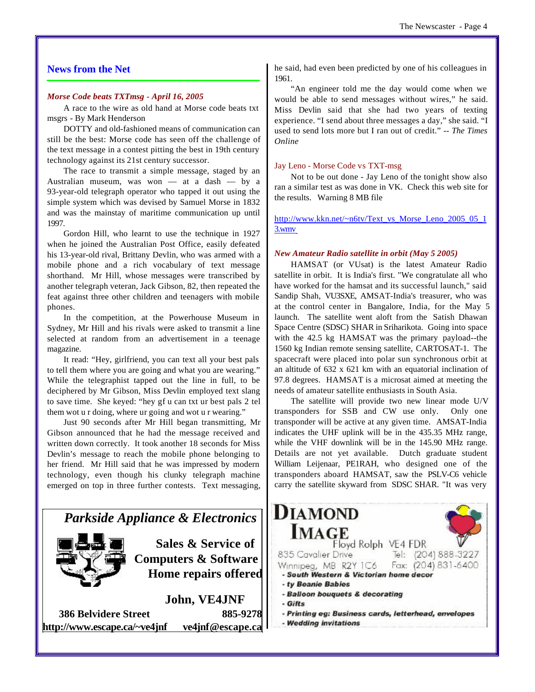## **News from the Net**

#### *Morse Code beats TXTmsg - April 16, 2005*

A race to the wire as old hand at Morse code beats txt msgrs - By Mark Henderson

DOTTY and old-fashioned means of communication can still be the best: Morse code has seen off the challenge of the text message in a contest pitting the best in 19th century technology against its 21st century successor.

The race to transmit a simple message, staged by an Australian museum, was won — at a dash — by a 93-year-old telegraph operator who tapped it out using the simple system which was devised by Samuel Morse in 1832 and was the mainstay of maritime communication up until 1997.

Gordon Hill, who learnt to use the technique in 1927 when he joined the Australian Post Office, easily defeated his 13-year-old rival, Brittany Devlin, who was armed with a mobile phone and a rich vocabulary of text message shorthand. Mr Hill, whose messages were transcribed by another telegraph veteran, Jack Gibson, 82, then repeated the feat against three other children and teenagers with mobile phones.

In the competition, at the Powerhouse Museum in Sydney, Mr Hill and his rivals were asked to transmit a line selected at random from an advertisement in a teenage magazine.

It read: "Hey, girlfriend, you can text all your best pals to tell them where you are going and what you are wearing." While the telegraphist tapped out the line in full, to be deciphered by Mr Gibson, Miss Devlin employed text slang to save time. She keyed: "hey gf u can txt ur best pals 2 tel them wot u r doing, where ur going and wot u r wearing."

Just 90 seconds after Mr Hill began transmitting, Mr Gibson announced that he had the message received and written down correctly. It took another 18 seconds for Miss Devlin's message to reach the mobile phone belonging to her friend. Mr Hill said that he was impressed by modern technology, even though his clunky telegraph machine emerged on top in three further contests. Text messaging,



**<http://www.escape.ca/~ve4jnf> ve4jnf@escape.ca**

he said, had even been predicted by one of his colleagues in 1961.

"An engineer told me the day would come when we would be able to send messages without wires," he said. Miss Devlin said that she had two years of texting experience. "I send about three messages a day," she said. "I used to send lots more but I ran out of credit." *-- The Times Online*

#### Jay Leno - Morse Code vs TXT-msg

Not to be out done - Jay Leno of the tonight show also ran a similar test as was done in VK. Check this web site for the results. Warning 8 MB file

[http://www.kkn.net/~n6tv/Text\\_vs\\_Morse\\_Leno\\_2005\\_05\\_1](http://www.kkn.net/~n6tv/Text_vs_Morse_Leno_2005_05_1) 3.wmv

#### *New Amateur Radio satellite in orbit (May 5 2005)*

HAMSAT (or VUsat) is the latest Amateur Radio satellite in orbit. It is India's first. "We congratulate all who have worked for the hamsat and its successful launch," said Sandip Shah, VU3SXE, AMSAT-India's treasurer, who was at the control center in Bangalore, India, for the May 5 launch. The satellite went aloft from the Satish Dhawan Space Centre (SDSC) SHAR in Sriharikota. Going into space with the 42.5 kg HAMSAT was the primary payload--the 1560 kg Indian remote sensing satellite, CARTOSAT-1. The spacecraft were placed into polar sun synchronous orbit at an altitude of 632 x 621 km with an equatorial inclination of 97.8 degrees. HAMSAT is a microsat aimed at meeting the needs of amateur satellite enthusiasts in South Asia.

The satellite will provide two new linear mode U/V transponders for SSB and CW use only. Only one transponder will be active at any given time. AMSAT-India indicates the UHF uplink will be in the 435.35 MHz range, while the VHF downlink will be in the 145.90 MHz range. Details are not yet available. Dutch graduate student William Leijenaar, PE1RAH, who designed one of the transponders aboard HAMSAT, saw the PSLV-C6 vehicle carry the satellite skyward from SDSC SHAR. "It was very

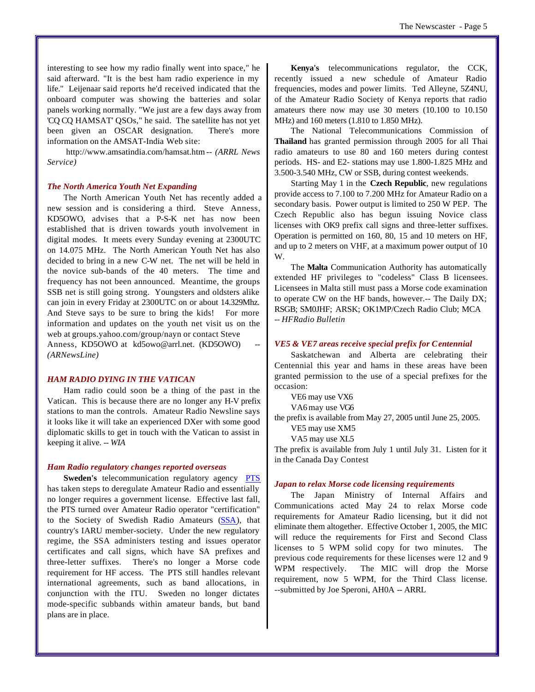interesting to see how my radio finally went into space," he said afterward. "It is the best ham radio experience in my life." Leijenaar said reports he'd received indicated that the onboard computer was showing the batteries and solar panels working normally. "We just are a few days away from 'CQ CQ HAMSAT' QSOs," he said. The satellite has not yet been given an OSCAR designation. There's more information on the AMSAT-India Web site:

<http://www.amsatindia.com/hamsat.htm> *-- (ARRL News Service)* 

#### *The North America Youth Net Expanding*

The North American Youth Net has recently added a new session and is considering a third. Steve Anness, KD5OWO, advises that a P-S-K net has now been established that is driven towards youth involvement in digital modes. It meets every Sunday evening at 2300UTC on 14.075 MHz. The North American Youth Net has also decided to bring in a new C-W net. The net will be held in the novice sub-bands of the 40 meters. The time and frequency has not been announced. Meantime, the groups SSB net is still going strong. Youngsters and oldsters alike can join in every Friday at 2300UTC on or about 14.329Mhz. And Steve says to be sure to bring the kids! For more information and updates on the youth net visit us on the web at groups.yahoo.com/group/nayn or contact Steve Anness, KD5OWO at kd5owo@arrl.net. (KD5OWO) *(ARNewsLine)* 

#### *HAM RADIO DYING IN THE VATICAN*

Ham radio could soon be a thing of the past in the Vatican. This is because there are no longer any H-V prefix stations to man the controls. Amateur Radio Newsline says it looks like it will take an experienced DXer with some good diplomatic skills to get in touch with the Vatican to assist in keeping it alive*. -- WIA*

#### *Ham Radio regulatory changes reported overseas*

**Sweden's** telecommunication regulatory agency **PTS** has taken steps to deregulate Amateur Radio and essentially no longer requires a government license. Effective last fall, the PTS turned over Amateur Radio operator "certification" to the Society of Swedish Radio Amateurs (SSA), that country's IARU member-society. Under the new regulatory regime, the SSA administers testing and issues operator certificates and call signs, which have SA prefixes and three-letter suffixes. There's no longer a Morse code requirement for HF access. The PTS still handles relevant international agreements, such as band allocations, in conjunction with the ITU. Sweden no longer dictates mode-specific subbands within amateur bands, but band plans are in place.

**Kenya's** telecommunications regulator, the CCK, recently issued a new schedule of Amateur Radio frequencies, modes and power limits. Ted Alleyne, 5Z4NU, of the Amateur Radio Society of Kenya reports that radio amateurs there now may use 30 meters (10.100 to 10.150 MHz) and 160 meters (1.810 to 1.850 MHz).

The National Telecommunications Commission of **Thailand** has granted permission through 2005 for all Thai radio amateurs to use 80 and 160 meters during contest periods. HS- and E2- stations may use 1.800-1.825 MHz and 3.500-3.540 MHz, CW or SSB, during contest weekends.

Starting May 1 in the **Czech Republic**, new regulations provide access to 7.100 to 7.200 MHz for Amateur Radio on a secondary basis. Power output is limited to 250 W PEP. The Czech Republic also has begun issuing Novice class licenses with OK9 prefix call signs and three-letter suffixes. Operation is permitted on 160, 80, 15 and 10 meters on HF, and up to 2 meters on VHF, at a maximum power output of 10 W.

The **Malta** Communication Authority has automatically extended HF privileges to "codeless" Class B licensees. Licensees in Malta still must pass a Morse code examination to operate CW on the HF bands, however.-- The Daily DX; RSGB; SM0JHF; ARSK; OK1MP/Czech Radio Club; MCA *-- HFRadio Bulletin*

#### *VE5 & VE7 areas receive special prefix for Centennial*

Saskatchewan and Alberta are celebrating their Centennial this year and hams in these areas have been granted permission to the use of a special prefixes for the occasion:

VE6 may use VX6

VA6 may use VG6

the prefix is available from May 27, 2005 until June 25, 2005.

VE5 may use XM5

VA5 may use XL5

The prefix is available from July 1 until July 31. Listen for it in the Canada Day Contest

#### *Japan to relax Morse code licensing requirements*

The Japan Ministry of Internal Affairs and Communications acted May 24 to relax Morse code requirements for Amateur Radio licensing, but it did not eliminate them altogether. Effective October 1, 2005, the MIC will reduce the requirements for First and Second Class licenses to 5 WPM solid copy for two minutes. The previous code requirements for these licenses were 12 and 9 WPM respectively. The MIC will drop the Morse requirement, now 5 WPM, for the Third Class license. --submitted by Joe Speroni, AH0A -- ARRL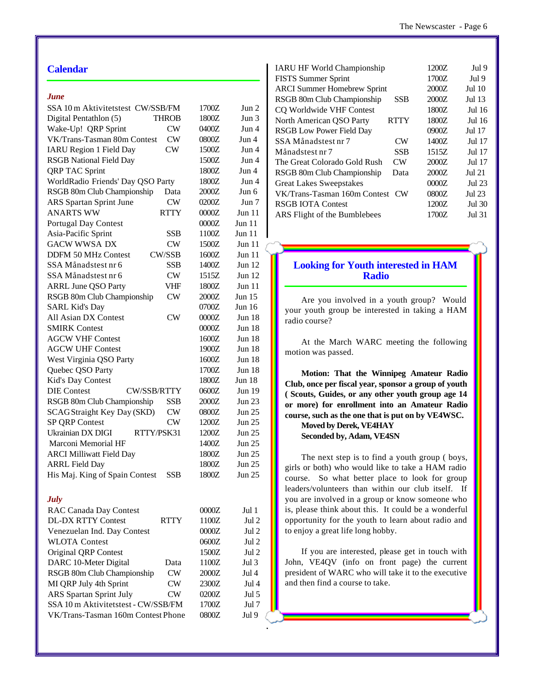## **Calendar**

#### *June*

| SSA 10 m Aktivitetstest CW/SSB/FM           |           | 1700Z          | Jun 2         |
|---------------------------------------------|-----------|----------------|---------------|
| Digital Pentathlon (5)<br>THROB             |           | 1800Z          | Jun 3         |
| Wake-Up! QRP Sprint                         | CW        | 0400Z          | Jun 4         |
| VK/Trans-Tasman 80m Contest                 | CW        | 0800Z          | Jun 4         |
| <b>IARU Region 1 Field Day</b>              | CW        | 1500Z          | Jun 4         |
| <b>RSGB</b> National Field Day              |           | 1500Z          | Jun 4         |
| <b>QRP TAC Sprint</b>                       |           | 1800Z          | Jun 4         |
| WorldRadio Friends' Day QSO Party           |           | 1800Z          | Jun 4         |
| RSGB 80m Club Championship                  | Data      | 2000Z          | Jun 6         |
| <b>ARS</b> Spartan Sprint June              | CW        | 0200Z          | Jun 7         |
| <b>ANARTS WW</b>                            | RTTY      | 0000Z          | Jun 11        |
| Portugal Day Contest                        |           | 0000Z          | Jun $11$      |
| Asia-Pacific Sprint                         | SSB       | 1100Z          | Jun 11        |
| <b>GACW WWSA DX</b>                         | CW        | 1500Z          | Jun 11        |
| <b>CW/SSB</b><br><b>DDFM 50 MHz Contest</b> |           | 1600Z          | <b>Jun 11</b> |
| SSA Månadstest nr 6                         | SSB       | 1400Z          | <b>Jun 12</b> |
| SSA Månadstest nr 6                         | CW        | 1515Z          | <b>Jun 12</b> |
| <b>ARRL June QSO Party</b>                  | VHF       | 1800Z          | <b>Jun 11</b> |
| RSGB 80m Club Championship                  | CW        | 2000Z          | <b>Jun 15</b> |
| <b>SARL Kid's Day</b>                       |           | 0700Z          | Jun 16        |
| All Asian DX Contest                        | CW        | 0000Z          | Jun 18        |
| <b>SMIRK Contest</b>                        |           | 0000Z          | Jun 18        |
| <b>AGCW VHF Contest</b>                     |           | 1600Z          | Jun 18        |
| <b>AGCW UHF Contest</b>                     |           | 1900Z          | Jun 18        |
| West Virginia QSO Party                     |           | 1600Z          | Jun 18        |
| Quebec QSO Party                            |           | 1700Z          | Jun 18        |
| Kid's Day Contest                           |           | 1800Z          | <b>Jun 18</b> |
| <b>CW/SSB/RTTY</b><br><b>DIE Contest</b>    |           | 0600Z          | Jun 19        |
| RSGB 80m Club Championship                  | SSB       | 2000Z          | <b>Jun 23</b> |
| SCAGStraight Key Day (SKD)                  | CW        | 0800Z          | Jun 25        |
| SP QRP Contest                              | CW        | 1200Z          | Jun 25        |
| Ukrainian DX DIGI<br>RTTY/PSK31             |           | 1200Z          | Jun 25        |
|                                             |           |                | Jun 25        |
| Marconi Memorial HF                         |           | 1400Z<br>1800Z | Jun 25        |
| <b>ARCI Milliwatt Field Day</b>             |           |                |               |
| <b>ARRL Field Day</b>                       |           | 1800Z          | Jun 25        |
| His Maj. King of Spain Contest              | SSB       | 1800Z          | <b>Jun 25</b> |
| <b>July</b>                                 |           |                |               |
| RAC Canada Day Contest                      |           | 0000Z          | Jul 1         |
| <b>DL-DX RTTY Contest</b>                   | RTTY      | 1100Z          | Jul 2         |
| Venezuelan Ind. Day Contest                 |           | 0000Z          | Jul 2         |
| <b>WLOTA Contest</b>                        |           | 0600Z          | Jul 2         |
| Original QRP Contest                        |           | 1500Z          | Jul 2         |
| DARC 10-Meter Digital                       | Data      | 1100Z          | Jul $3$       |
| RSGB 80m Club Championship                  | CW        | 2000Z          | Jul 4         |
| MI QRP July 4th Sprint                      | <b>CW</b> | 2300Z          | Jul 4         |
| <b>ARS</b> Spartan Sprint July              | <b>CW</b> | 0200Z          | Jul 5         |
| SSA 10 m Aktivitetstest - CW/SSB/FM         |           | 1700Z          | Jul 7         |
| VK/Trans-Tasman 160m Contest Phone          |           | 0800Z          | Jul 9         |
|                                             |           |                |               |

| <b>IARU HF World Championship</b>              | 1200Z | Jul 9         |
|------------------------------------------------|-------|---------------|
| <b>FISTS</b> Summer Sprint                     | 1700Z | Jul 9         |
| <b>ARCI Summer Homebrew Sprint</b>             | 2000Z | Jul 10        |
| RSGB 80m Club Championship<br><b>SSB</b>       | 2000Z | Jul 13        |
| CO Worldwide VHF Contest                       | 1800Z | $Jul$ 16      |
| North American QSO Party<br><b>RTTY</b>        | 1800Z | Jul 16        |
| <b>RSGB Low Power Field Day</b>                | 0900Z | Jul 17        |
| SSA Månadstest nr 7<br>CW                      | 1400Z | Jul 17        |
| <b>SSB</b><br>Månadstest nr 7                  | 1515Z | Jul 17        |
| The Great Colorado Gold Rush<br>CW             | 2000Z | Jul 17        |
| RSGB 80m Club Championship<br>Data             | 2000Z | <b>Jul 21</b> |
| <b>Great Lakes Sweepstakes</b>                 | 0000Z | <b>Jul 23</b> |
| VK/Trans-Tasman 160m Contest<br>CW <sub></sub> | 0800Z | Jul 23        |
| <b>RSGB IOTA Contest</b>                       | 1200Z | Jul 30        |
| ARS Flight of the Bumblebees                   | 1700Z | <b>Jul 31</b> |
|                                                |       |               |

## **Looking for Youth interested in HAM Radio**

Are you involved in a youth group? Would your youth group be interested in taking a HAM radio course?

At the March WARC meeting the following motion was passed.

**Motion: That the Winnipeg Amateur Radio Club, once per fiscal year, sponsor a group of youth ( Scouts, Guides, or any other youth group age 14 or more) for enrollment into an Amateur Radio course, such as the one that is put on by VE4WSC.** 

**Moved by Derek, VE4HAY Seconded by, Adam, VE4SN**

The next step is to find a youth group ( boys, girls or both) who would like to take a HAM radio course. So what better place to look for group leaders/volunteers than within our club itself. If you are involved in a group or know someone who is, please think about this. It could be a wonderful opportunity for the youth to learn about radio and to enjoy a great life long hobby.

If you are interested, please get in touch with John, VE4QV (info on front page) the current president of WARC who will take it to the executive and then find a course to take.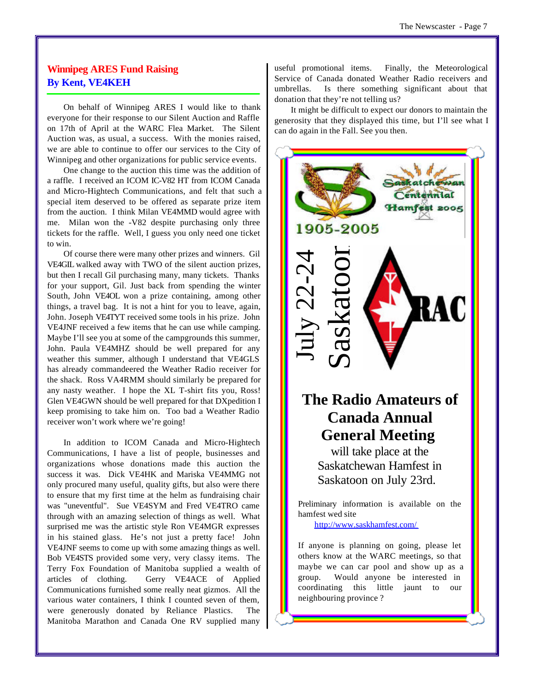## **Winnipeg ARES Fund Raising By Kent, VE4KEH**

On behalf of Winnipeg ARES I would like to thank everyone for their response to our Silent Auction and Raffle on 17th of April at the WARC Flea Market. The Silent Auction was, as usual, a success. With the monies raised, we are able to continue to offer our services to the City of Winnipeg and other organizations for public service events.

One change to the auction this time was the addition of a raffle. I received an ICOM IC-V82 HT from ICOM Canada and Micro-Hightech Communications, and felt that such a special item deserved to be offered as separate prize item from the auction. I think Milan VE4MMD would agree with me. Milan won the -V82 despite purchasing only three tickets for the raffle. Well, I guess you only need one ticket to win.

Of course there were many other prizes and winners. Gil VE4GIL walked away with TWO of the silent auction prizes, but then I recall Gil purchasing many, many tickets. Thanks for your support, Gil. Just back from spending the winter South, John VE4OL won a prize containing, among other things, a travel bag. It is not a hint for you to leave, again, John. Joseph VE4TYT received some tools in his prize. John VE4JNF received a few items that he can use while camping. Maybe I'll see you at some of the campgrounds this summer, John. Paula VE4MHZ should be well prepared for any weather this summer, although I understand that VE4GLS has already commandeered the Weather Radio receiver for the shack. Ross VA4RMM should similarly be prepared for any nasty weather. I hope the XL T-shirt fits you, Ross! Glen VE4GWN should be well prepared for that DXpedition I keep promising to take him on. Too bad a Weather Radio receiver won't work where we're going!

In addition to ICOM Canada and Micro-Hightech Communications, I have a list of people, businesses and organizations whose donations made this auction the success it was. Dick VE4HK and Mariska VE4MMG not only procured many useful, quality gifts, but also were there to ensure that my first time at the helm as fundraising chair was "uneventful". Sue VE4SYM and Fred VE4TRO came through with an amazing selection of things as well. What surprised me was the artistic style Ron VE4MGR expresses in his stained glass. He's not just a pretty face! John VE4JNF seems to come up with some amazing things as well. Bob VE4STS provided some very, very classy items. The Terry Fox Foundation of Manitoba supplied a wealth of articles of clothing. Gerry VE4ACE of Applied Communications furnished some really neat gizmos. All the various water containers, I think I counted seven of them, were generously donated by Reliance Plastics. The Manitoba Marathon and Canada One RV supplied many

useful promotional items. Finally, the Meteorological Service of Canada donated Weather Radio receivers and umbrellas. Is there something significant about that donation that they're not telling us?

It might be difficult to expect our donors to maintain the generosity that they displayed this time, but I'll see what I can do again in the Fall. See you then.



coordinating this little jaunt to our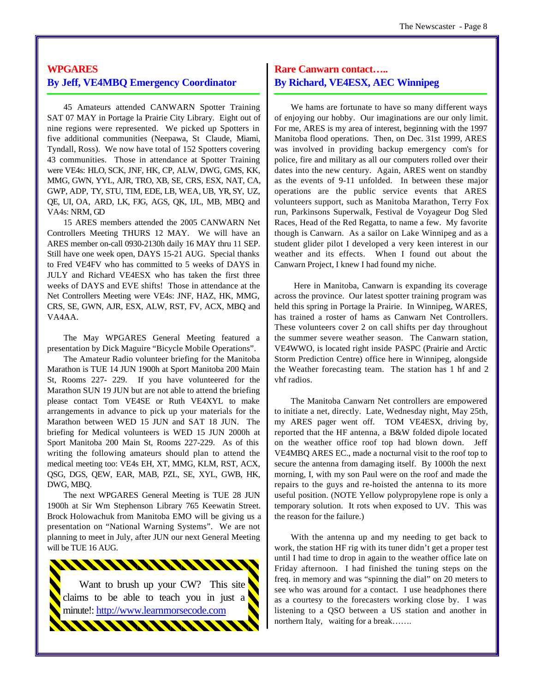## **WPGARES By Jeff, VE4MBQ Emergency Coordinator**

45 Amateurs attended CANWARN Spotter Training SAT 07 MAY in Portage la Prairie City Library. Eight out of nine regions were represented. We picked up Spotters in five additional communities (Neepawa, St Claude, Miami, Tyndall, Ross). We now have total of 152 Spotters covering 43 communities. Those in attendance at Spotter Training were VE4s: HLO, SCK, JNF, HK, CP, ALW, DWG, GMS, KK, MMG, GWN, YYL, AJR, TRO, XB, SE, CRS, ESX, NAT, CA, GWP, ADP, TY, STU, TIM, EDE, LB, WEA, UB, YR, SY, UZ, QE, UI, OA, ARD, LK, FJG, AGS, QK, IJL, MB, MBQ and VA4s: NRM, GD

15 ARES members attended the 2005 CANWARN Net Controllers Meeting THURS 12 MAY. We will have an ARES member on-call 0930-2130h daily 16 MAY thru 11 SEP. Still have one week open, DAYS 15-21 AUG. Special thanks to Fred VE4FV who has committed to 5 weeks of DAYS in JULY and Richard VE4ESX who has taken the first three weeks of DAYS and EVE shifts! Those in attendance at the Net Controllers Meeting were VE4s: JNF, HAZ, HK, MMG, CRS, SE, GWN, AJR, ESX, ALW, RST, FV, ACX, MBQ and VA4AA.

The May WPGARES General Meeting featured a presentation by Dick Maguire "Bicycle Mobile Operations".

The Amateur Radio volunteer briefing for the Manitoba Marathon is TUE 14 JUN 1900h at Sport Manitoba 200 Main St, Rooms 227- 229. If you have volunteered for the Marathon SUN 19 JUN but are not able to attend the briefing please contact Tom VE4SE or Ruth VE4XYL to make arrangements in advance to pick up your materials for the Marathon between WED 15 JUN and SAT 18 JUN. The briefing for Medical volunteers is WED 15 JUN 2000h at Sport Manitoba 200 Main St, Rooms 227-229. As of this writing the following amateurs should plan to attend the medical meeting too: VE4s EH, XT, MMG, KLM, RST, ACX, QSG, DGS, QEW, EAR, MAB, PZL, SE, XYL, GWB, HK, DWG, MBQ.

The next WPGARES General Meeting is TUE 28 JUN 1900h at Sir Wm Stephenson Library 765 Keewatin Street. Brock Holowachuk from Manitoba EMO will be giving us a presentation on "National Warning Systems". We are not planning to meet in July, after JUN our next General Meeting will be TUE 16 AUG.



## **Rare Canwarn contact….. By Richard, VE4ESX, AEC Winnipeg**

We hams are fortunate to have so many different ways of enjoying our hobby. Our imaginations are our only limit. For me, ARES is my area of interest, beginning with the 1997 Manitoba flood operations. Then, on Dec. 31st 1999, ARES was involved in providing backup emergency com's for police, fire and military as all our computers rolled over their dates into the new century. Again, ARES went on standby as the events of 9-11 unfolded. In between these major operations are the public service events that ARES volunteers support, such as Manitoba Marathon, Terry Fox run, Parkinsons Superwalk, Festival de Voyageur Dog Sled Races, Head of the Red Regatta, to name a few. My favorite though is Canwarn. As a sailor on Lake Winnipeg and as a student glider pilot I developed a very keen interest in our weather and its effects. When I found out about the Canwarn Project, I knew I had found my niche.

 Here in Manitoba, Canwarn is expanding its coverage across the province. Our latest spotter training program was held this spring in Portage la Prairie. In Winnipeg, WARES, has trained a roster of hams as Canwarn Net Controllers. These volunteers cover 2 on call shifts per day throughout the summer severe weather season. The Canwarn station, VE4WWO, is located right inside PASPC (Prairie and Arctic Storm Prediction Centre) office here in Winnipeg, alongside the Weather forecasting team. The station has 1 hf and 2 vhf radios.

The Manitoba Canwarn Net controllers are empowered to initiate a net, directly. Late, Wednesday night, May 25th, my ARES pager went off. TOM VE4ESX, driving by, reported that the HF antenna, a B&W folded dipole located on the weather office roof top had blown down. Jeff VE4MBQ ARES EC., made a nocturnal visit to the roof top to secure the antenna from damaging itself. By 1000h the next morning, I, with my son Paul were on the roof and made the repairs to the guys and re-hoisted the antenna to its more useful position. (NOTE Yellow polypropylene rope is only a temporary solution. It rots when exposed to UV. This was the reason for the failure.)

With the antenna up and my needing to get back to work, the station HF rig with its tuner didn't get a proper test until I had time to drop in again to the weather office late on Friday afternoon. I had finished the tuning steps on the freq. in memory and was "spinning the dial" on 20 meters to see who was around for a contact. I use headphones there as a courtesy to the forecasters working close by. I was listening to a QSO between a US station and another in northern Italy, waiting for a break…….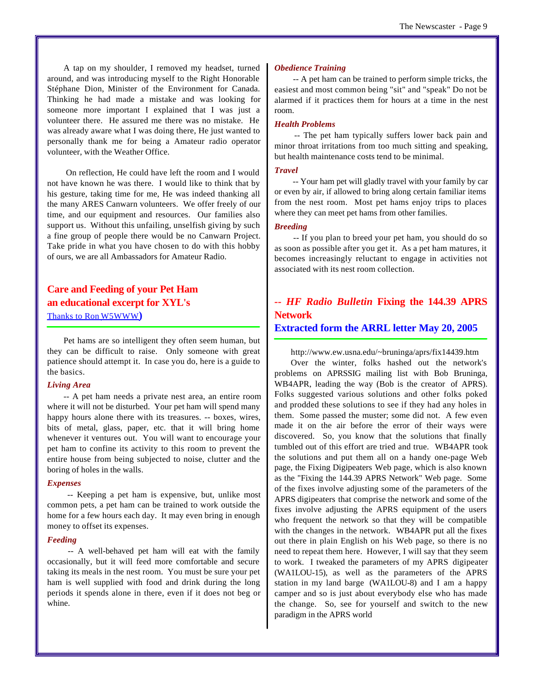A tap on my shoulder, I removed my headset, turned around, and was introducing myself to the Right Honorable Stéphane Dion, Minister of the Environment for Canada. Thinking he had made a mistake and was looking for someone more important I explained that I was just a volunteer there. He assured me there was no mistake. He was already aware what I was doing there, He just wanted to personally thank me for being a Amateur radio operator volunteer, with the Weather Office.

 On reflection, He could have left the room and I would not have known he was there. I would like to think that by his gesture, taking time for me, He was indeed thanking all the many ARES Canwarn volunteers. We offer freely of our time, and our equipment and resources. Our families also support us. Without this unfailing, unselfish giving by such a fine group of people there would be no Canwarn Project. Take pride in what you have chosen to do with this hobby of ours, we are all Ambassadors for Amateur Radio.

## **Care and Feeding of your Pet Ham an educational excerpt for XYL's** Thanks to Ron W5WWW**)**

Pet hams are so intelligent they often seem human, but they can be difficult to raise. Only someone with great patience should attempt it. In case you do, here is a guide to the basics.

#### *Living Area*

-- A pet ham needs a private nest area, an entire room where it will not be disturbed. Your pet ham will spend many happy hours alone there with its treasures. -- boxes, wires, bits of metal, glass, paper, etc. that it will bring home whenever it ventures out. You will want to encourage your pet ham to confine its activity to this room to prevent the entire house from being subjected to noise, clutter and the boring of holes in the walls.

#### *Expenses*

 -- Keeping a pet ham is expensive, but, unlike most common pets, a pet ham can be trained to work outside the home for a few hours each day. It may even bring in enough money to offset its expenses.

#### *Feeding*

 -- A well-behaved pet ham will eat with the family occasionally, but it will feed more comfortable and secure taking its meals in the nest room. You must be sure your pet ham is well supplied with food and drink during the long periods it spends alone in there, even if it does not beg or whine.

#### *Obedience Training*

 -- A pet ham can be trained to perform simple tricks, the easiest and most common being "sit" and "speak" Do not be alarmed if it practices them for hours at a time in the nest room.

### *Health Problems*

 -- The pet ham typically suffers lower back pain and minor throat irritations from too much sitting and speaking, but health maintenance costs tend to be minimal.

#### *Travel*

 -- Your ham pet will gladly travel with your family by car or even by air, if allowed to bring along certain familiar items from the nest room. Most pet hams enjoy trips to places where they can meet pet hams from other families.

### *Breeding*

 -- If you plan to breed your pet ham, you should do so as soon as possible after you get it. As a pet ham matures, it becomes increasingly reluctant to engage in activities not associated with its nest room collection.

## *-- HF Radio Bulletin* **Fixing the 144.39 APRS Network**

## **Extracted form the ARRL letter May 20, 2005**

<http://www.ew.usna.edu/~bruninga/aprs/fix14439.htm>

Over the winter, folks hashed out the network's problems on APRSSIG mailing list with Bob Bruninga, WB4APR, leading the way (Bob is the creator of APRS). Folks suggested various solutions and other folks poked and prodded these solutions to see if they had any holes in them. Some passed the muster; some did not. A few even made it on the air before the error of their ways were discovered. So, you know that the solutions that finally tumbled out of this effort are tried and true. WB4APR took the solutions and put them all on a handy one-page Web page, the Fixing Digipeaters Web page, which is also known as the "Fixing the 144.39 APRS Network" Web page. Some of the fixes involve adjusting some of the parameters of the APRS digipeaters that comprise the network and some of the fixes involve adjusting the APRS equipment of the users who frequent the network so that they will be compatible with the changes in the network. WB4APR put all the fixes out there in plain English on his Web page, so there is no need to repeat them here. However, I will say that they seem to work. I tweaked the parameters of my APRS digipeater (WA1LOU-15), as well as the parameters of the APRS station in my land barge (WA1LOU-8) and I am a happy camper and so is just about everybody else who has made the change. So, see for yourself and switch to the new paradigm in the APRS world